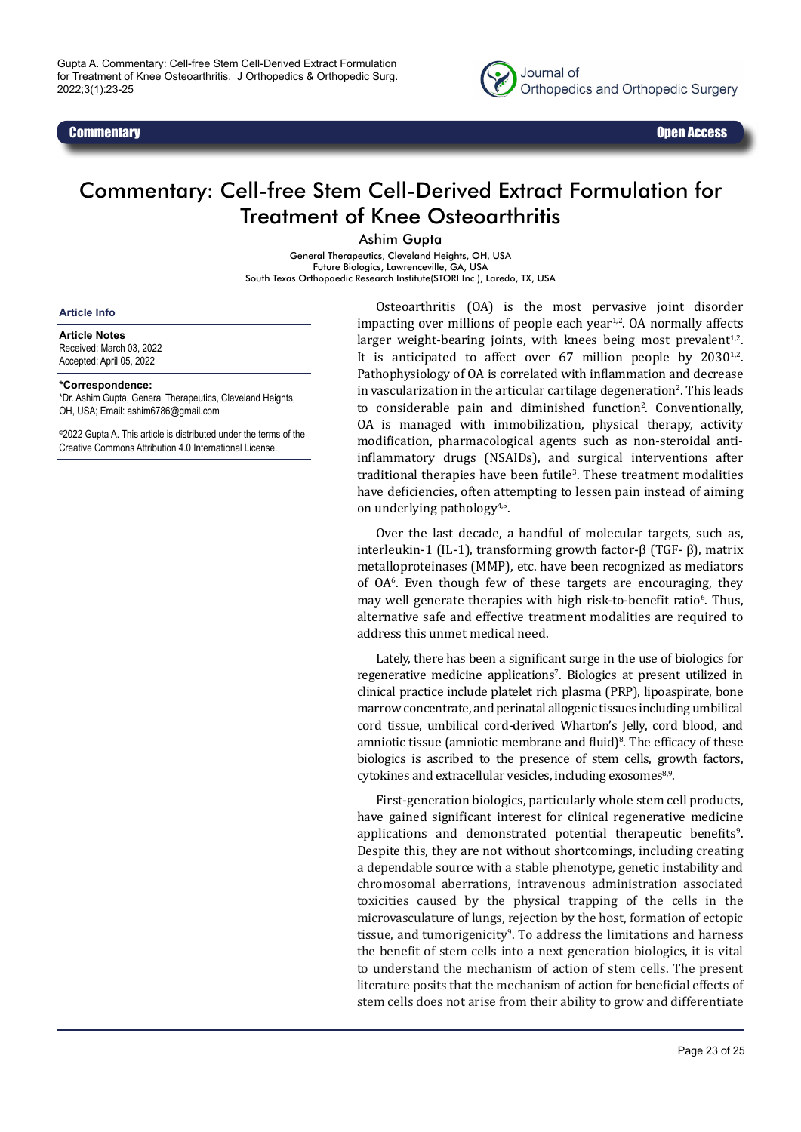



## Commentary: Cell-free Stem Cell-Derived Extract Formulation for Treatment of Knee Osteoarthritis

Ashim Gupta

General Therapeutics, Cleveland Heights, OH, USA Future Biologics, Lawrenceville, GA, USA South Texas Orthopaedic Research Institute(STORI Inc.), Laredo, TX, USA

## **Article Info**

**Article Notes**

Received: March 03, 2022 Accepted: April 05, 2022

## **\*Correspondence:**

\*Dr. Ashim Gupta, General Therapeutics, Cleveland Heights, OH, USA; Email: ashim6786@gmail.com

©2022 Gupta A. This article is distributed under the terms of the Creative Commons Attribution 4.0 International License.

Osteoarthritis (OA) is the most pervasive joint disorder impacting over millions of people each year $1,2$ . OA normally affects larger weight-bearing joints, with knees being most prevalent $1,2$ . It is anticipated to affect over  $67$  million people by  $2030^{1,2}$ . Pathophysiology of OA is correlated with inflammation and decrease in vascularization in the articular cartilage degeneration<sup>2</sup>. This leads to considerable pain and diminished function<sup>2</sup>. Conventionally, OA is managed with immobilization, physical therapy, activity modification, pharmacological agents such as non-steroidal antiinflammatory drugs (NSAIDs), and surgical interventions after traditional therapies have been futile<sup>3</sup>. These treatment modalities have deficiencies, often attempting to lessen pain instead of aiming on underlying pathology4,5.

Over the last decade, a handful of molecular targets, such as, interleukin-1 (IL-1), transforming growth factor-β (TGF- β), matrix metalloproteinases (MMP), etc. have been recognized as mediators of OA6 . Even though few of these targets are encouraging, they may well generate therapies with high risk-to-benefit ratio<sup>6</sup>. Thus, alternative safe and effective treatment modalities are required to address this unmet medical need.

Lately, there has been a significant surge in the use of biologics for regenerative medicine applications'. Biologics at present utilized in clinical practice include platelet rich plasma (PRP), lipoaspirate, bone marrow concentrate, and perinatal allogenic tissues including umbilical cord tissue, umbilical cord-derived Wharton's Jelly, cord blood, and amniotic tissue (amniotic membrane and fluid)<sup>8</sup>. The efficacy of these biologics is ascribed to the presence of stem cells, growth factors, cytokines and extracellular vesicles, including exosomes<sup>8,9</sup>.

First-generation biologics, particularly whole stem cell products, have gained significant interest for clinical regenerative medicine applications and demonstrated potential therapeutic benefits<sup>9</sup>. Despite this, they are not without shortcomings, including creating a dependable source with a stable phenotype, genetic instability and chromosomal aberrations, intravenous administration associated toxicities caused by the physical trapping of the cells in the microvasculature of lungs, rejection by the host, formation of ectopic tissue, and tumorigenicity<sup>9</sup>. To address the limitations and harness the benefit of stem cells into a next generation biologics, it is vital to understand the mechanism of action of stem cells. The present literature posits that the mechanism of action for beneficial effects of stem cells does not arise from their ability to grow and differentiate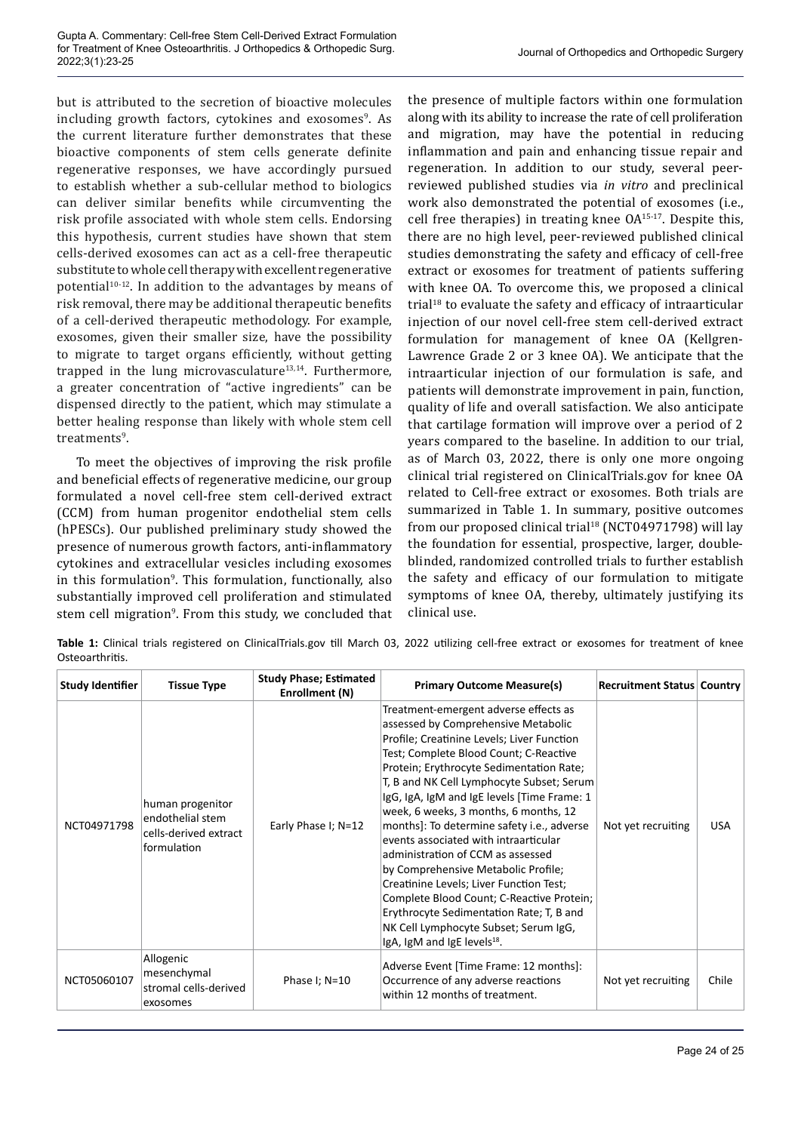but is attributed to the secretion of bioactive molecules including growth factors, cytokines and exosomes<sup>9</sup>. As the current literature further demonstrates that these bioactive components of stem cells generate definite regenerative responses, we have accordingly pursued to establish whether a sub-cellular method to biologics can deliver similar benefits while circumventing the risk profile associated with whole stem cells. Endorsing this hypothesis, current studies have shown that stem cells-derived exosomes can act as a cell-free therapeutic substitute to whole cell therapy with excellent regenerative potential<sup>10-12</sup>. In addition to the advantages by means of risk removal, there may be additional therapeutic benefits of a cell-derived therapeutic methodology. For example, exosomes, given their smaller size, have the possibility to migrate to target organs efficiently, without getting trapped in the lung microvasculature $13,14$ . Furthermore, a greater concentration of "active ingredients" can be dispensed directly to the patient, which may stimulate a better healing response than likely with whole stem cell treatments<sup>9</sup>.

To meet the objectives of improving the risk profile and beneficial effects of regenerative medicine, our group formulated a novel cell-free stem cell-derived extract (CCM) from human progenitor endothelial stem cells (hPESCs). Our published preliminary study showed the presence of numerous growth factors, anti-inflammatory cytokines and extracellular vesicles including exosomes in this formulation<sup>9</sup> . This formulation, functionally, also substantially improved cell proliferation and stimulated stem cell migration<sup>9</sup>. From this study, we concluded that

the presence of multiple factors within one formulation along with its ability to increase the rate of cell proliferation and migration, may have the potential in reducing inflammation and pain and enhancing tissue repair and regeneration. In addition to our study, several peerreviewed published studies via *in vitro* and preclinical work also demonstrated the potential of exosomes (i.e., cell free therapies) in treating knee OA15-17. Despite this, there are no high level, peer-reviewed published clinical studies demonstrating the safety and efficacy of cell-free extract or exosomes for treatment of patients suffering with knee OA. To overcome this, we proposed a clinical trial<sup>18</sup> to evaluate the safety and efficacy of intraarticular injection of our novel cell-free stem cell-derived extract formulation for management of knee OA (Kellgren-Lawrence Grade 2 or 3 knee OA). We anticipate that the intraarticular injection of our formulation is safe, and patients will demonstrate improvement in pain, function, quality of life and overall satisfaction. We also anticipate that cartilage formation will improve over a period of 2 years compared to the baseline. In addition to our trial, as of March 03, 2022, there is only one more ongoing clinical trial registered on ClinicalTrials.gov for knee OA related to Cell-free extract or exosomes. Both trials are summarized in Table 1. In summary, positive outcomes from our proposed clinical trial $18$  (NCT04971798) will lay the foundation for essential, prospective, larger, doubleblinded, randomized controlled trials to further establish the safety and efficacy of our formulation to mitigate symptoms of knee OA, thereby, ultimately justifying its clinical use.

**Table 1:** Clinical trials registered on ClinicalTrials.gov till March 03, 2022 utilizing cell-free extract or exosomes for treatment of knee Osteoarthritis.

| <b>Study Identifier</b> | <b>Tissue Type</b>                                                           | <b>Study Phase; Estimated</b><br>Enrollment (N) | <b>Primary Outcome Measure(s)</b>                                                                                                                                                                                                                                                                                                                                                                                                                                                                                                                                                                                                                                                                                                                | <b>Recruitment Status   Country  </b> |            |
|-------------------------|------------------------------------------------------------------------------|-------------------------------------------------|--------------------------------------------------------------------------------------------------------------------------------------------------------------------------------------------------------------------------------------------------------------------------------------------------------------------------------------------------------------------------------------------------------------------------------------------------------------------------------------------------------------------------------------------------------------------------------------------------------------------------------------------------------------------------------------------------------------------------------------------------|---------------------------------------|------------|
| NCT04971798             | human progenitor<br>endothelial stem<br>cells-derived extract<br>formulation | Early Phase I; N=12                             | Treatment-emergent adverse effects as<br>assessed by Comprehensive Metabolic<br>Profile; Creatinine Levels; Liver Function<br>Test; Complete Blood Count; C-Reactive<br>Protein; Erythrocyte Sedimentation Rate;<br>T, B and NK Cell Lymphocyte Subset; Serum<br>IgG, IgA, IgM and IgE levels [Time Frame: 1<br>week, 6 weeks, 3 months, 6 months, 12<br>months]: To determine safety i.e., adverse<br>events associated with intraarticular<br>administration of CCM as assessed<br>by Comprehensive Metabolic Profile;<br>Creatinine Levels; Liver Function Test;<br>Complete Blood Count; C-Reactive Protein;<br>Erythrocyte Sedimentation Rate; T, B and<br>NK Cell Lymphocyte Subset; Serum IgG,<br>IgA, IgM and IgE levels <sup>18</sup> . | Not yet recruiting                    | <b>USA</b> |
| NCT05060107             | Allogenic<br>mesenchymal<br>stromal cells-derived<br>exosomes                | Phase $I; N=10$                                 | Adverse Event [Time Frame: 12 months]:<br>Occurrence of any adverse reactions<br>within 12 months of treatment.                                                                                                                                                                                                                                                                                                                                                                                                                                                                                                                                                                                                                                  | Not yet recruiting                    | Chile      |